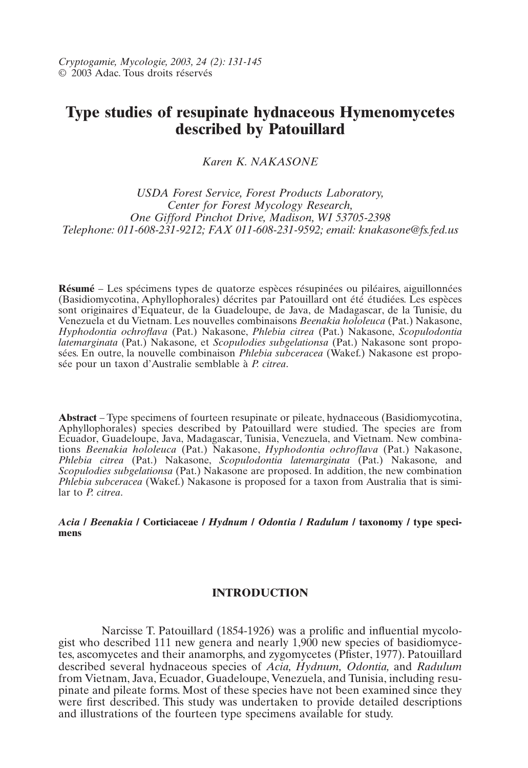# **Type studies of resupinate hydnaceous Hymenomycetes described by Patouillard**

*Karen K. NAKASONE*

*USDA Forest Service, Forest Products Laboratory, Center for Forest Mycology Research, One Gifford Pinchot Drive, Madison, WI 53705-2398 Telephone: 011-608-231-9212; FAX 011-608-231-9592; email: knakasone@fs.fed.us*

**Résumé** – Les spécimens types de quatorze espèces résupinées ou piléaires, aiguillonnées (Basidiomycotina, Aphyllophorales) décrites par Patouillard ont été étudiées. Les espèces sont originaires d'Equateur, de la Guadeloupe, de Java, de Madagascar, de la Tunisie, du Venezuela et du Vietnam. Les nouvelles combinaisons *Beenakia hololeuca* (Pat.) Nakasone, *Hyphodontia ochroflava* (Pat.) Nakasone, *Phlebia citrea* (Pat.) Nakasone, *Scopulodontia latemarginata* (Pat.) Nakasone*,* et *Scopulodies subgelationsa* (Pat.) Nakasone sont proposées. En outre, la nouvelle combinaison *Phlebia subceracea* (Wakef.) Nakasone est proposée pour un taxon d'Australie semblable à *P. citrea*.

**Abstract** – Type specimens of fourteen resupinate or pileate, hydnaceous (Basidiomycotina, Aphyllophorales) species described by Patouillard were studied. The species are from Ecuador, Guadeloupe, Java, Madagascar, Tunisia, Venezuela, and Vietnam. New combinations *Beenakia hololeuca* (Pat.) Nakasone, *Hyphodontia ochroflava* (Pat.) Nakasone, *Phlebia citrea* (Pat.) Nakasone, *Scopulodontia latemarginata* (Pat.) Nakasone*,* and *Scopulodies subgelationsa* (Pat.) Nakasone are proposed. In addition, the new combination *Phlebia subceracea* (Wakef.) Nakasone is proposed for a taxon from Australia that is similar to *P. citrea*.

*Acia* **/** *Beenakia* **/ Corticiaceae /** *Hydnum* **/** *Odontia* **/** *Radulum* **/ taxonomy / type specimens**

## **INTRODUCTION**

Narcisse T. Patouillard (1854-1926) was a prolific and influential mycologist who described 111 new genera and nearly 1,900 new species of basidiomycetes, ascomycetes and their anamorphs, and zygomycetes (Pfister, 1977). Patouillard described several hydnaceous species of *Acia, Hydnum, Odontia,* and *Radulum* from Vietnam, Java, Ecuador, Guadeloupe, Venezuela, and Tunisia, including resupinate and pileate forms. Most of these species have not been examined since they were first described. This study was undertaken to provide detailed descriptions and illustrations of the fourteen type specimens available for study.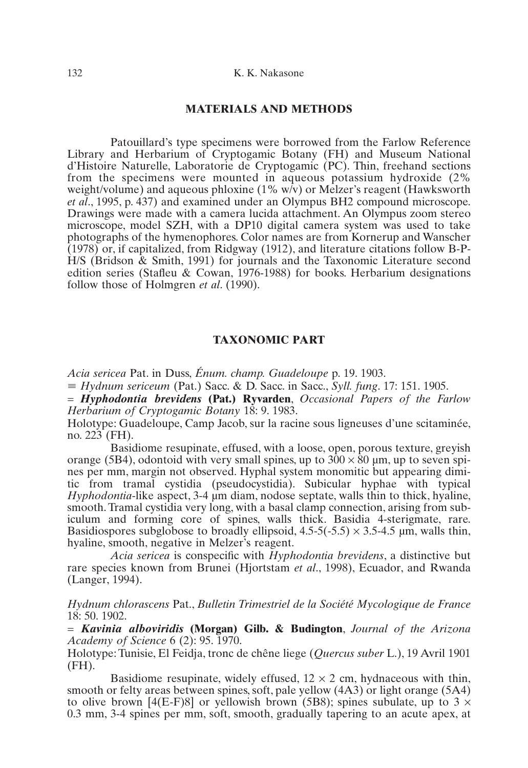#### 132 K. K. Nakasone

# **MATERIALS AND METHODS**

Patouillard's type specimens were borrowed from the Farlow Reference Library and Herbarium of Cryptogamic Botany (FH) and Museum National d'Histoire Naturelle, Laboratorie de Cryptogamic (PC). Thin, freehand sections from the specimens were mounted in aqueous potassium hydroxide (2% weight/volume) and aqueous phloxine (1% w/v) or Melzer's reagent (Hawksworth *et al*., 1995, p. 437) and examined under an Olympus BH2 compound microscope. Drawings were made with a camera lucida attachment. An Olympus zoom stereo microscope, model SZH, with a DP10 digital camera system was used to take photographs of the hymenophores. Color names are from Kornerup and Wanscher (1978) or, if capitalized, from Ridgway (1912), and literature citations follow B-P-H/S (Bridson & Smith, 1991) for journals and the Taxonomic Literature second edition series (Stafleu & Cowan, 1976-1988) for books. Herbarium designations follow those of Holmgren *et al*. (1990).

## **TAXONOMIC PART**

*Acia sericea* Pat. in Duss, *Énum. champ. Guadeloupe* p. 19. 1903.

- *Hydnum sericeum* (Pat.) Sacc. & D. Sacc. in Sacc., *Syll. fung*. 17: 151. 1905.

= *Hyphodontia brevidens* **(Pat.) Ryvarden**, *Occasional Papers of the Farlow Herbarium of Cryptogamic Botany* 18: 9. 1983.

Holotype: Guadeloupe, Camp Jacob, sur la racine sous ligneuses d'une scitaminée, no. 223 (FH).

Basidiome resupinate, effused, with a loose, open, porous texture, greyish orange (5B4), odontoid with very small spines, up to  $300 \times 80$  µm, up to seven spines per mm, margin not observed. Hyphal system monomitic but appearing dimitic from tramal cystidia (pseudocystidia). Subicular hyphae with typical *Hyphodontia*-like aspect, 3-4 µm diam, nodose septate, walls thin to thick, hyaline, smooth. Tramal cystidia very long, with a basal clamp connection, arising from subiculum and forming core of spines, walls thick. Basidia 4-sterigmate, rare. Basidiospores subglobose to broadly ellipsoid,  $4.5-5(-5.5) \times 3.5-4.5$  µm, walls thin, hyaline, smooth, negative in Melzer's reagent.

*Acia sericea* is conspecific with *Hyphodontia brevidens*, a distinctive but rare species known from Brunei (Hjortstam *et al*., 1998), Ecuador, and Rwanda (Langer, 1994).

*Hydnum chlorascens* Pat., *Bulletin Trimestriel de la Société Mycologique de France* 18: 50. 1902.

*= Kavinia alboviridis* **(Morgan) Gilb. & Budington**, *Journal of the Arizona Academy of Science* 6 (2): 95. 1970.

Holotype: Tunisie, El Feidja, tronc de chêne liege (*Quercus suber* L.), 19 Avril 1901  $(FH)$ .

Basidiome resupinate, widely effused,  $12 \times 2$  cm, hydnaceous with thin, smooth or felty areas between spines, soft, pale yellow (4A3) or light orange (5A4) to olive brown [4(E-F)8] or yellowish brown (5B8); spines subulate, up to  $3 \times$ 0.3 mm, 3-4 spines per mm, soft, smooth, gradually tapering to an acute apex, at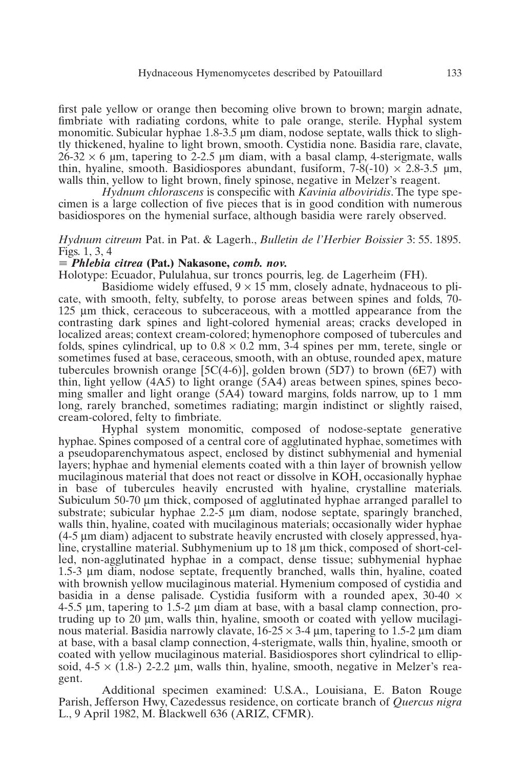#### Hydnaceous Hymenomycetes described by Patouillard 133

first pale yellow or orange then becoming olive brown to brown; margin adnate, fimbriate with radiating cordons, white to pale orange, sterile. Hyphal system monomitic. Subicular hyphae 1.8-3.5 µm diam, nodose septate, walls thick to slightly thickened, hyaline to light brown, smooth. Cystidia none. Basidia rare, clavate,  $26-32 \times 6$  µm, tapering to 2-2.5 µm diam, with a basal clamp, 4-sterigmate, walls thin, hyaline, smooth. Basidiospores abundant, fusiform,  $7-8(-10) \times 2.8-3.5 \text{ µm}$ , walls thin, yellow to light brown, finely spinose, negative in Melzer's reagent.

*Hydnum chlorascens* is conspecific with *Kavinia alboviridis*. The type specimen is a large collection of five pieces that is in good condition with numerous basidiospores on the hymenial surface, although basidia were rarely observed.

## *Hydnum citreum* Pat. in Pat. & Lagerh., *Bulletin de l'Herbier Boissier* 3: 55. 1895. Figs. 1, 3, 4

## - *Phlebia citrea* **(Pat.) Nakasone,** *comb. nov.*

Holotype: Ecuador, Pululahua, sur troncs pourris, leg. de Lagerheim (FH).

Basidiome widely effused,  $9 \times 15$  mm, closely adnate, hydnaceous to plicate, with smooth, felty, subfelty, to porose areas between spines and folds, 70- 125 µm thick, ceraceous to subceraceous, with a mottled appearance from the contrasting dark spines and light-colored hymenial areas; cracks developed in localized areas; context cream-colored; hymenophore composed of tubercules and folds, spines cylindrical, up to  $0.8 \times 0.2$  mm, 3-4 spines per mm, terete, single or sometimes fused at base, ceraceous, smooth, with an obtuse, rounded apex, mature tubercules brownish orange  $[5C(4-6)]$ , golden brown  $(5D7)$  to brown  $(6E7)$  with thin, light yellow (4A5) to light orange (5A4) areas between spines, spines becoming smaller and light orange (5A4) toward margins, folds narrow, up to 1 mm long, rarely branched, sometimes radiating; margin indistinct or slightly raised, cream-colored, felty to fimbriate.

Hyphal system monomitic, composed of nodose-septate generative hyphae. Spines composed of a central core of agglutinated hyphae, sometimes with a pseudoparenchymatous aspect, enclosed by distinct subhymenial and hymenial layers; hyphae and hymenial elements coated with a thin layer of brownish yellow mucilaginous material that does not react or dissolve in KOH, occasionally hyphae in base of tubercules heavily encrusted with hyaline, crystalline materials. Subiculum 50-70 µm thick, composed of agglutinated hyphae arranged parallel to substrate; subicular hyphae  $2.2\n-5 \mu m$  diam, nodose septate, sparingly branched, walls thin, hyaline, coated with mucilaginous materials; occasionally wider hyphae (4-5 µm diam) adjacent to substrate heavily encrusted with closely appressed, hyaline, crystalline material. Subhymenium up to 18 µm thick, composed of short-celled, non-agglutinated hyphae in a compact, dense tissue; subhymenial hyphae 1.5-3 µm diam, nodose septate, frequently branched, walls thin, hyaline, coated with brownish yellow mucilaginous material. Hymenium composed of cystidia and basidia in a dense palisade. Cystidia fusiform with a rounded apex,  $30-40 \times$ 4-5.5 µm, tapering to 1.5-2 µm diam at base, with a basal clamp connection, protruding up to 20  $\mu$ m, walls thin, hyaline, smooth or coated with yellow mucilaginous material. Basidia narrowly clavate,  $16-25 \times 3-4 \mu$ m, tapering to 1.5-2  $\mu$ m diam at base, with a basal clamp connection, 4-sterigmate, walls thin, hyaline, smooth or coated with yellow mucilaginous material. Basidiospores short cylindrical to ellipsoid,  $4-5 \times (1.8)$  2-2.2 µm, walls thin, hyaline, smooth, negative in Melzer's reagent.

Additional specimen examined: U.S.A., Louisiana, E. Baton Rouge Parish, Jefferson Hwy, Cazedessus residence, on corticate branch of *Quercus nigra* L., 9 April 1982, M. Blackwell 636 (ARIZ, CFMR).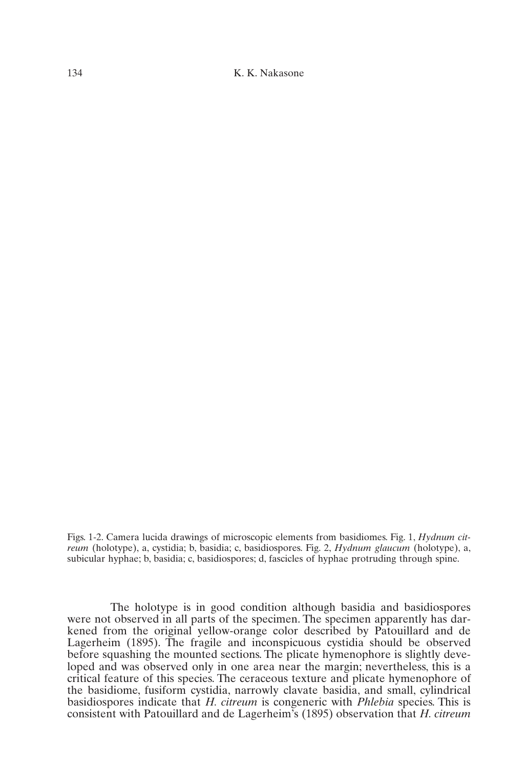134 K. K. Nakasone

Figs. 1-2. Camera lucida drawings of microscopic elements from basidiomes. Fig. 1, *Hydnum citreum* (holotype), a, cystidia; b, basidia; c, basidiospores. Fig. 2, *Hydnum glaucum* (holotype), a, subicular hyphae; b, basidia; c, basidiospores; d, fascicles of hyphae protruding through spine.

The holotype is in good condition although basidia and basidiospores were not observed in all parts of the specimen. The specimen apparently has darkened from the original yellow-orange color described by Patouillard and de Lagerheim (1895). The fragile and inconspicuous cystidia should be observed before squashing the mounted sections. The plicate hymenophore is slightly developed and was observed only in one area near the margin; nevertheless, this is a critical feature of this species. The ceraceous texture and plicate hymenophore of the basidiome, fusiform cystidia, narrowly clavate basidia, and small, cylindrical basidiospores indicate that *H. citreum* is congeneric with *Phlebia* species. This is consistent with Patouillard and de Lagerheim's (1895) observation that *H. citreum*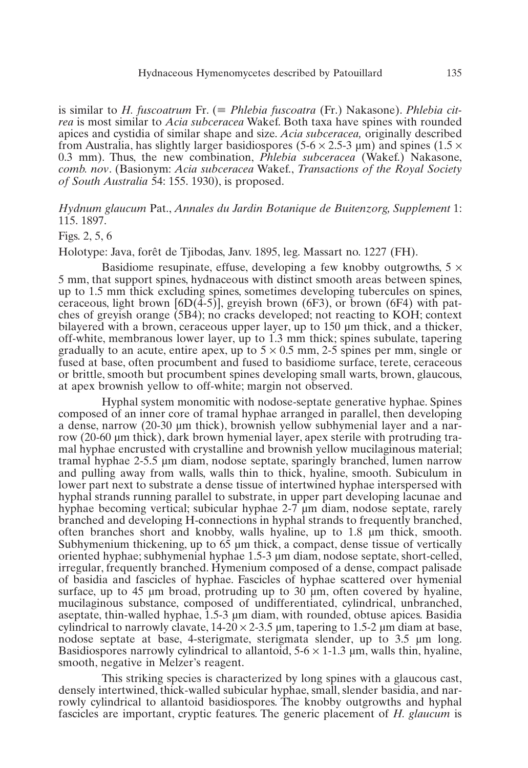is similar to *H. fuscoatrum* Fr. (= *Phlebia fuscoatra* (Fr.) Nakasone). *Phlebia citrea* is most similar to *Acia subceracea* Wakef. Both taxa have spines with rounded apices and cystidia of similar shape and size. *Acia subceracea,* originally described from Australia, has slightly larger basidiospores (5-6  $\times$  2.5-3 µm) and spines (1.5  $\times$ 0.3 mm). Thus, the new combination, *Phlebia subceracea* (Wakef.) Nakasone, *comb. nov*. (Basionym: *Acia subceracea* Wakef., *Transactions of the Royal Society of South Australia* 54: 155. 1930), is proposed.

*Hydnum glaucum* Pat., *Annales du Jardin Botanique de Buitenzorg, Supplement* 1: 115. 1897.

## Figs. 2, 5, 6

Holotype: Java, forêt de Tjibodas, Janv. 1895, leg. Massart no. 1227 (FH).

Basidiome resupinate, effuse, developing a few knobby outgrowths,  $5 \times$ 5 mm, that support spines, hydnaceous with distinct smooth areas between spines, up to 1.5 mm thick excluding spines, sometimes developing tubercules on spines, ceraceous, light brown  $[6D(4-5)]$ , greyish brown  $(6F3)$ , or brown  $(6F4)$  with patches of greyish orange (5B4); no cracks developed; not reacting to KOH; context bilayered with a brown, ceraceous upper layer, up to 150 µm thick, and a thicker, off-white, membranous lower layer, up to 1.3 mm thick; spines subulate, tapering gradually to an acute, entire apex, up to  $5 \times 0.5$  mm, 2-5 spines per mm, single or fused at base, often procumbent and fused to basidiome surface, terete, ceraceous or brittle, smooth but procumbent spines developing small warts, brown, glaucous, at apex brownish yellow to off-white; margin not observed.

Hyphal system monomitic with nodose-septate generative hyphae. Spines composed of an inner core of tramal hyphae arranged in parallel, then developing a dense, narrow (20-30 µm thick), brownish yellow subhymenial layer and a narrow (20-60 µm thick), dark brown hymenial layer, apex sterile with protruding tramal hyphae encrusted with crystalline and brownish yellow mucilaginous material; tramal hyphae 2-5.5 µm diam, nodose septate, sparingly branched, lumen narrow and pulling away from walls, walls thin to thick, hyaline, smooth. Subiculum in lower part next to substrate a dense tissue of intertwined hyphae interspersed with hyphal strands running parallel to substrate, in upper part developing lacunae and hyphae becoming vertical; subicular hyphae 2-7  $\mu$ m diam, nodose septate, rarely branched and developing H-connections in hyphal strands to frequently branched, often branches short and knobby, walls hyaline, up to 1.8 µm thick, smooth. Subhymenium thickening, up to  $65 \mu m$  thick, a compact, dense tissue of vertically oriented hyphae; subhymenial hyphae 1.5-3 µm diam, nodose septate, short-celled, irregular, frequently branched. Hymenium composed of a dense, compact palisade of basidia and fascicles of hyphae. Fascicles of hyphae scattered over hymenial surface, up to 45  $\mu$ m broad, protruding up to 30  $\mu$ m, often covered by hyaline, mucilaginous substance, composed of undifferentiated, cylindrical, unbranched, aseptate, thin-walled hyphae, 1.5-3 µm diam, with rounded, obtuse apices. Basidia cylindrical to narrowly clavate,  $14{\text -}20 \times 2{\text -}3.5$  µm, tapering to 1.5-2 µm diam at base, nodose septate at base, 4-sterigmate, sterigmata slender, up to 3.5 µm long. Basidiospores narrowly cylindrical to allantoid,  $5-6 \times 1-1.3$  µm, walls thin, hyaline, smooth, negative in Melzer's reagent.

This striking species is characterized by long spines with a glaucous cast, densely intertwined, thick-walled subicular hyphae, small, slender basidia, and narrowly cylindrical to allantoid basidiospores. The knobby outgrowths and hyphal fascicles are important, cryptic features. The generic placement of *H. glaucum* is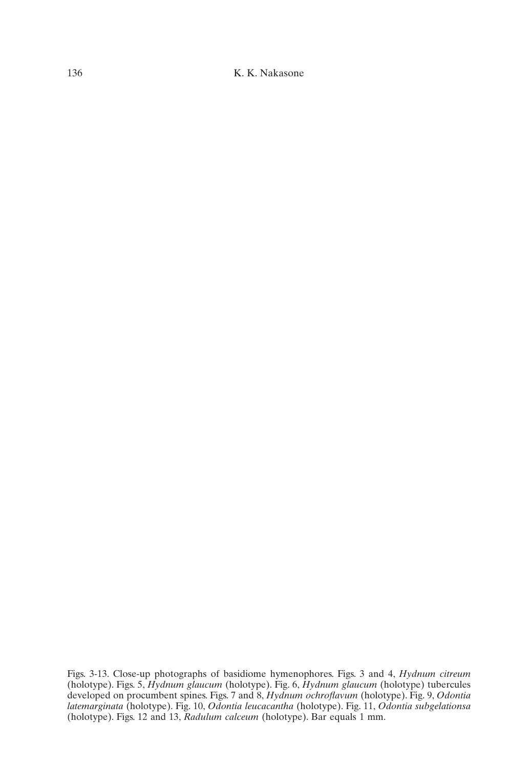136 K. K. Nakasone

Figs. 3-13. Close-up photographs of basidiome hymenophores. Figs. 3 and 4, *Hydnum citreum* (holotype). Figs. 5, *Hydnum glaucum* (holotype). Fig. 6, *Hydnum glaucum* (holotype) tubercules developed on procumbent spines. Figs. 7 and 8, *Hydnum ochroflavum* (holotype). Fig. 9, *Odontia latemarginata* (holotype). Fig. 10, *Odontia leucacantha* (holotype). Fig. 11, *Odontia subgelationsa* (holotype). Figs. 12 and 13, *Radulum calceum* (holotype). Bar equals 1 mm.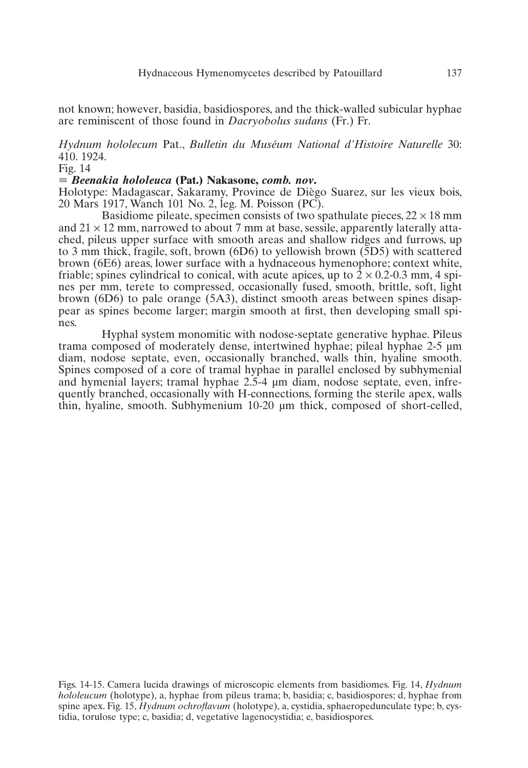not known; however, basidia, basidiospores, and the thick-walled subicular hyphae are reminiscent of those found in *Dacryobolus sudans* (Fr.) Fr.

*Hydnum hololecum* Pat., *Bulletin du Muséum National d'Histoire Naturelle* 30: 410. 1924.

Fig. 14

## - *Beenakia hololeuca* **(Pat.) Nakasone,** *comb. nov***.**

Holotype: Madagascar, Sakaramy, Province de Diègo Suarez, sur les vieux bois, 20 Mars 1917, Wanch 101 No. 2, leg. M. Poisson (PC).

Basidiome pileate, specimen consists of two spathulate pieces,  $22 \times 18$  mm and  $21 \times 12$  mm, narrowed to about 7 mm at base, sessile, apparently laterally attached, pileus upper surface with smooth areas and shallow ridges and furrows, up to 3 mm thick, fragile, soft, brown (6D6) to yellowish brown (5D5) with scattered brown (6E6) areas, lower surface with a hydnaceous hymenophore; context white, friable; spines cylindrical to conical, with acute apices, up to  $2 \times 0.2$ -0.3 mm, 4 spines per mm, terete to compressed, occasionally fused, smooth, brittle, soft, light brown (6D6) to pale orange (5A3), distinct smooth areas between spines disappear as spines become larger; margin smooth at first, then developing small spines.

Hyphal system monomitic with nodose-septate generative hyphae. Pileus trama composed of moderately dense, intertwined hyphae; pileal hyphae 2-5 µm diam, nodose septate, even, occasionally branched, walls thin, hyaline smooth. Spines composed of a core of tramal hyphae in parallel enclosed by subhymenial and hymenial layers; tramal hyphae 2.5-4 µm diam, nodose septate, even, infrequently branched, occasionally with H-connections, forming the sterile apex, walls thin, hyaline, smooth. Subhymenium 10-20 µm thick, composed of short-celled,

Figs. 14-15. Camera lucida drawings of microscopic elements from basidiomes. Fig. 14, *Hydnum hololeucum* (holotype), a, hyphae from pileus trama; b, basidia; c, basidiospores; d, hyphae from spine apex. Fig. 15, *Hydnum ochroflavum* (holotype), a, cystidia, sphaeropedunculate type; b, cystidia, torulose type; c, basidia; d, vegetative lagenocystidia; e, basidiospores.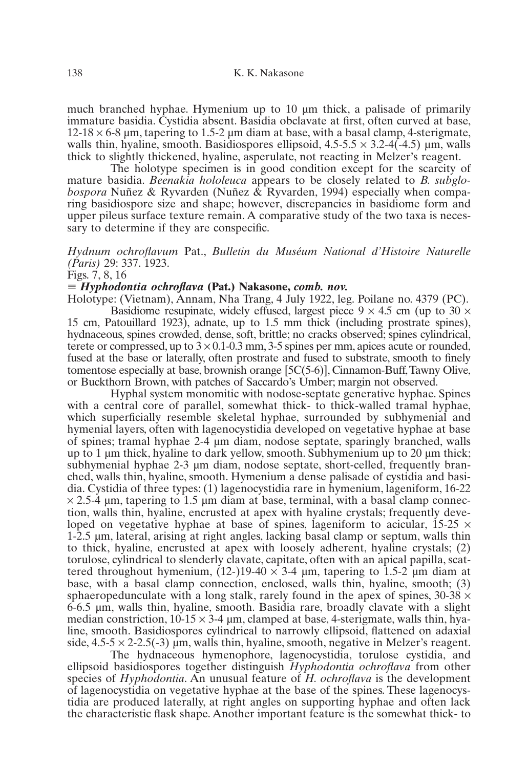much branched hyphae. Hymenium up to 10 µm thick, a palisade of primarily immature basidia. Cystidia absent. Basidia obclavate at first, often curved at base,  $12-18 \times 6-8$  µm, tapering to 1.5-2 µm diam at base, with a basal clamp, 4-sterigmate, walls thin, hyaline, smooth. Basidiospores ellipsoid,  $4.5-5.5 \times 3.2-4(-4.5)$  µm, walls thick to slightly thickened, hyaline, asperulate, not reacting in Melzer's reagent.

The holotype specimen is in good condition except for the scarcity of mature basidia. *Beenakia hololeuca* appears to be closely related to *B. subglobospora* Nuñez & Ryvarden (Nuñez & Ryvarden, 1994) especially when comparing basidiospore size and shape; however, discrepancies in basidiome form and upper pileus surface texture remain. A comparative study of the two taxa is necessary to determine if they are conspecific.

# *Hydnum ochroflavum* Pat., *Bulletin du Muséum National d'Histoire Naturelle (Paris)* 29: 337. 1923.

Figs. 7, 8, 16

## - *Hyphodontia ochroflava* **(Pat.) Nakasone,** *comb. nov.*

Holotype: (Vietnam), Annam, Nha Trang, 4 July 1922, leg. Poilane no. 4379 (PC). Basidiome resupinate, widely effused, largest piece  $9 \times 4.5$  cm (up to 30  $\times$ 15 cm, Patouillard 1923), adnate, up to 1.5 mm thick (including prostrate spines), hydnaceous, spines crowded, dense, soft, brittle; no cracks observed; spines cylindrical, terete or compressed, up to  $3 \times 0.1$ -0.3 mm, 3-5 spines per mm, apices acute or rounded, fused at the base or laterally, often prostrate and fused to substrate, smooth to finely tomentose especially at base, brownish orange [5C(5-6)], Cinnamon-Buff,Tawny Olive, or Buckthorn Brown, with patches of Saccardo's Umber; margin not observed.

Hyphal system monomitic with nodose-septate generative hyphae. Spines with a central core of parallel, somewhat thick- to thick-walled tramal hyphae, which superficially resemble skeletal hyphae, surrounded by subhymenial and hymenial layers, often with lagenocystidia developed on vegetative hyphae at base of spines; tramal hyphae 2-4 µm diam, nodose septate, sparingly branched, walls up to 1  $\mu$ m thick, hyaline to dark yellow, smooth. Subhymenium up to 20  $\mu$ m thick; subhymenial hyphae 2-3  $\mu$ m diam, nodose septate, short-celled, frequently branched, walls thin, hyaline, smooth. Hymenium a dense palisade of cystidia and basidia. Cystidia of three types: (1) lagenocystidia rare in hymenium, lageniform, 16-22  $\times$  2.5-4 µm, tapering to 1.5 µm diam at base, terminal, with a basal clamp connection, walls thin, hyaline, encrusted at apex with hyaline crystals; frequently developed on vegetative hyphae at base of spines, lageniform to acicular,  $15{\text -}25 \times$ 1-2.5 µm, lateral, arising at right angles, lacking basal clamp or septum, walls thin to thick, hyaline, encrusted at apex with loosely adherent, hyaline crystals; (2) torulose, cylindrical to slenderly clavate, capitate, often with an apical papilla, scattered throughout hymenium,  $(12-)19-40 \times 3-4 \mu$ m, tapering to 1.5-2  $\mu$ m diam at base, with a basal clamp connection, enclosed, walls thin, hyaline, smooth; (3) sphaeropedunculate with a long stalk, rarely found in the apex of spines,  $30-38 \times$ 6-6.5 µm, walls thin, hyaline, smooth. Basidia rare, broadly clavate with a slight median constriction,  $10-15 \times 3-4$  µm, clamped at base, 4-sterigmate, walls thin, hyaline, smooth. Basidiospores cylindrical to narrowly ellipsoid, flattened on adaxial side,  $4.5-5 \times 2-2.5(-3)$  µm, walls thin, hyaline, smooth, negative in Melzer's reagent.

The hydnaceous hymenophore, lagenocystidia, torulose cystidia, and ellipsoid basidiospores together distinguish *Hyphodontia ochroflava* from other species of *Hyphodontia*. An unusual feature of *H. ochroflava* is the development of lagenocystidia on vegetative hyphae at the base of the spines. These lagenocystidia are produced laterally, at right angles on supporting hyphae and often lack the characteristic flask shape. Another important feature is the somewhat thick- to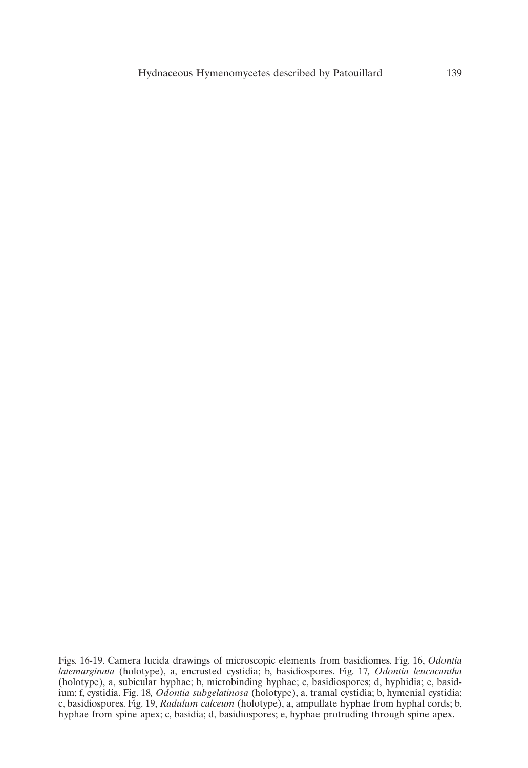Figs. 16-19. Camera lucida drawings of microscopic elements from basidiomes. Fig. 16, *Odontia latemarginata* (holotype), a, encrusted cystidia; b, basidiospores. Fig. 17*, Odontia leucacantha* (holotype), a, subicular hyphae; b, microbinding hyphae; c, basidiospores; d, hyphidia; e, basidium; f, cystidia. Fig. 18*, Odontia subgelatinosa* (holotype), a, tramal cystidia; b, hymenial cystidia; c, basidiospores. Fig. 19, *Radulum calceum* (holotype), a, ampullate hyphae from hyphal cords; b, hyphae from spine apex; c, basidia; d, basidiospores; e, hyphae protruding through spine apex.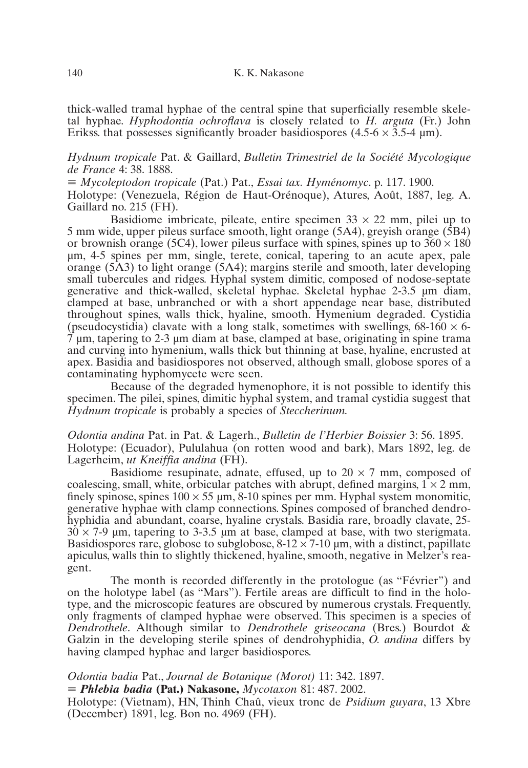thick-walled tramal hyphae of the central spine that superficially resemble skeletal hyphae. *Hyphodontia ochroflava* is closely related to *H. arguta* (Fr.) John Erikss. that possesses significantly broader basidiospores  $(4.5-6 \times 3.5-4 \text{ µm})$ .

*Hydnum tropicale* Pat. & Gaillard, *Bulletin Trimestriel de la Société Mycologique de France* 4: 38. 1888.

- *Mycoleptodon tropicale* (Pat.) Pat., *Essai tax. Hyménomyc*. p. 117. 1900. Holotype: (Venezuela, Région de Haut-Orénoque), Atures, Août, 1887, leg. A. Gaillard no. 215 (FH).

Basidiome imbricate, pileate, entire specimen  $33 \times 22$  mm, pilei up to 5 mm wide, upper pileus surface smooth, light orange (5A4), greyish orange (5B4) or brownish orange (5C4), lower pileus surface with spines, spines up to  $360 \times 180$ µm, 4-5 spines per mm, single, terete, conical, tapering to an acute apex, pale orange (5A3) to light orange (5A4); margins sterile and smooth, later developing small tubercules and ridges. Hyphal system dimitic, composed of nodose-septate generative and thick-walled, skeletal hyphae. Skeletal hyphae 2-3.5 µm diam, clamped at base, unbranched or with a short appendage near base, distributed throughout spines, walls thick, hyaline, smooth. Hymenium degraded. Cystidia (pseudocystidia) clavate with a long stalk, sometimes with swellings,  $68-160 \times 6 \overline{7}$  µm, tapering to 2-3 µm diam at base, clamped at base, originating in spine trama and curving into hymenium, walls thick but thinning at base, hyaline, encrusted at apex. Basidia and basidiospores not observed, although small, globose spores of a contaminating hyphomycete were seen.

Because of the degraded hymenophore, it is not possible to identify this specimen. The pilei, spines, dimitic hyphal system, and tramal cystidia suggest that *Hydnum tropicale* is probably a species of *Steccherinum.*

*Odontia andina* Pat. in Pat. & Lagerh., *Bulletin de l'Herbier Boissier* 3: 56. 1895. Holotype: (Ecuador), Pululahua (on rotten wood and bark), Mars 1892, leg. de Lagerheim, *ut Kneiffia andina* (FH).

Basidiome resupinate, adnate, effused, up to  $20 \times 7$  mm, composed of coalescing, small, white, orbicular patches with abrupt, defined margins,  $1 \times 2$  mm, finely spinose, spines  $100 \times 55 \mu m$ , 8-10 spines per mm. Hyphal system monomitic, generative hyphae with clamp connections. Spines composed of branched dendrohyphidia and abundant, coarse, hyaline crystals. Basidia rare, broadly clavate, 25-  $30 \times 7$ -9 µm, tapering to 3-3.5 µm at base, clamped at base, with two sterigmata. Basidiospores rare, globose to subglobose,  $8-12 \times 7-10 \mu m$ , with a distinct, papillate apiculus, walls thin to slightly thickened, hyaline, smooth, negative in Melzer's reagent.

The month is recorded differently in the protologue (as "Février") and on the holotype label (as "Mars"). Fertile areas are difficult to find in the holotype, and the microscopic features are obscured by numerous crystals. Frequently, only fragments of clamped hyphae were observed. This specimen is a species of *Dendrothele*. Although similar to *Dendrothele griseocana* (Bres.) Bourdot & Galzin in the developing sterile spines of dendrohyphidia, *O. andina* differs by having clamped hyphae and larger basidiospores.

*Odontia badia* Pat., *Journal de Botanique (Morot)* 11: 342. 1897. - *Phlebia badia* **(Pat.) Nakasone,** *Mycotaxon* 81: 487. 2002.

Holotype: (Vietnam), HN, Thinh Chaû, vieux tronc de *Psidium guyara*, 13 Xbre (December) 1891, leg. Bon no. 4969 (FH).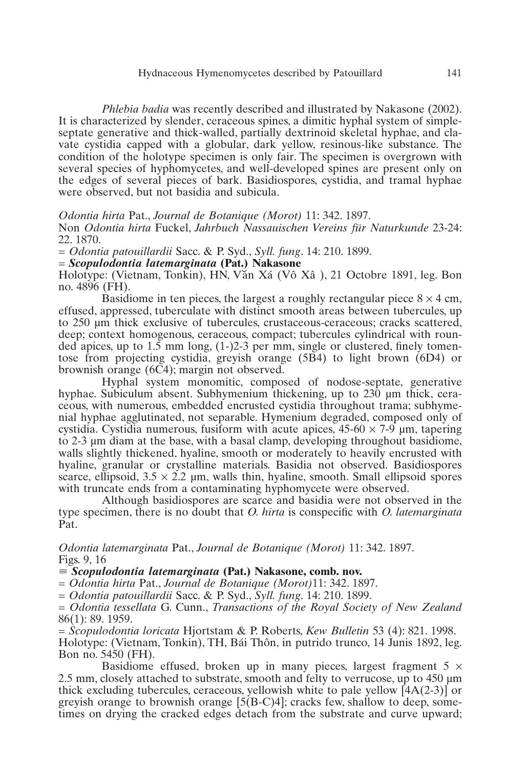#### Hydnaceous Hymenomycetes described by Patouillard 141

*Phlebia badia* was recently described and illustrated by Nakasone (2002). It is characterized by slender, ceraceous spines, a dimitic hyphal system of simpleseptate generative and thick-walled, partially dextrinoid skeletal hyphae, and clavate cystidia capped with a globular, dark yellow, resinous-like substance. The condition of the holotype specimen is only fair. The specimen is overgrown with several species of hyphomycetes, and well-developed spines are present only on the edges of several pieces of bark. Basidiospores, cystidia, and tramal hyphae were observed, but not basidia and subicula.

*Odontia hirta* Pat., *Journal de Botanique (Morot)* 11: 342. 1897.

Non *Odontia hirta* Fuckel, *Jahrbuch Nassauischen Vereins für Naturkunde* 23-24: 22. 1870.

= *Odontia patouillardii* Sacc. & P. Syd., *Syll. fung*. 14: 210. 1899.

= *Scopulodontia latemarginata* **(Pat.) Nakasone**

Holotype: (Vietnam, Tonkin), HN, V˘an Xá (Vô Xâ ), 21 Octobre 1891, leg. Bon no. 4896 (FH).

Basidiome in ten pieces, the largest a roughly rectangular piece  $8 \times 4$  cm, effused, appressed, tuberculate with distinct smooth areas between tubercules, up to 250 µm thick exclusive of tubercules, crustaceous-ceraceous; cracks scattered, deep; context homogenous, ceraceous, compact; tubercules cylindrical with rounded apices, up to  $1.5$  mm long,  $(1-)2-3$  per mm, single or clustered, finely tomentose from projecting cystidia, greyish orange (5B4) to light brown (6D4) or brownish orange (6C4); margin not observed.

Hyphal system monomitic, composed of nodose-septate, generative hyphae. Subiculum absent. Subhymenium thickening, up to 230 um thick, ceraceous, with numerous, embedded encrusted cystidia throughout trama; subhymenial hyphae agglutinated, not separable. Hymenium degraded, composed only of cystidia. Cystidia numerous, fusiform with acute apices,  $45{\text -}60 \times 7{\text -}9$  um, tapering to 2-3 µm diam at the base, with a basal clamp, developing throughout basidiome, walls slightly thickened, hyaline, smooth or moderately to heavily encrusted with hyaline, granular or crystalline materials. Basidia not observed. Basidiospores scarce, ellipsoid,  $3.5 \times 2.2$  µm, walls thin, hyaline, smooth. Small ellipsoid spores with truncate ends from a contaminating hyphomycete were observed.

Although basidiospores are scarce and basidia were not observed in the type specimen, there is no doubt that *O. hirta* is conspecific with *O. latemarginata* Pat.

*Odontia latemarginata* Pat., *Journal de Botanique (Morot)* 11: 342. 1897. Figs. 9, 16

- *Scopulodontia latemarginata* **(Pat.) Nakasone, comb. nov.**

= *Odontia hirta* Pat., *Journal de Botanique (Morot)*11: 342. 1897.

= *Odontia patouillardii* Sacc. & P. Syd., *Syll. fung*. 14: 210. 1899.

= *Odontia tessellata* G. Cunn., *Transactions of the Royal Society of New Zealand* 86(1): 89. 1959.

= *Scopulodontia loricata* Hjortstam & P. Roberts, *Kew Bulletin* 53 (4): 821. 1998. Holotype: (Vietnam, Tonkin), TH, Bái Thôn, in putrido trunco, 14 Junis 1892, leg. Bon no. 5450 (FH).

Basidiome effused, broken up in many pieces, largest fragment  $5 \times$ 2.5 mm, closely attached to substrate, smooth and felty to verrucose, up to 450 µm thick excluding tubercules, ceraceous, yellowish white to pale yellow  $[4A(2-3)]$  or greyish orange to brownish orange  $[5(B-C)4]$ ; cracks few, shallow to deep, sometimes on drying the cracked edges detach from the substrate and curve upward;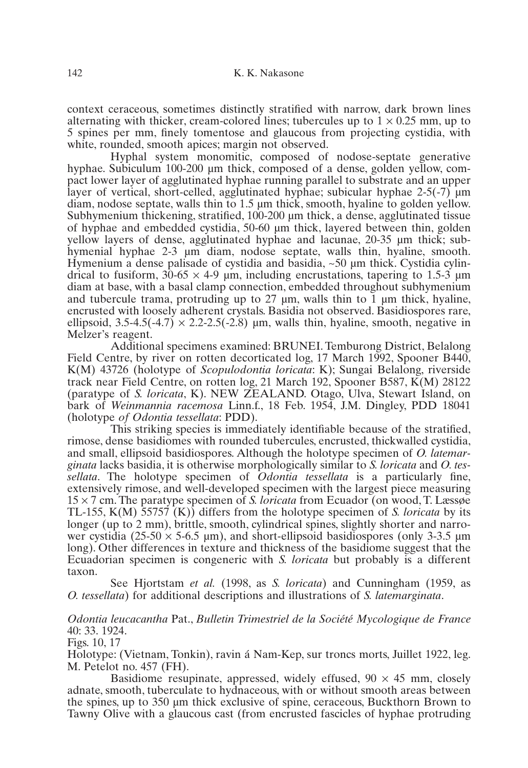context ceraceous, sometimes distinctly stratified with narrow, dark brown lines alternating with thicker, cream-colored lines; tubercules up to  $1 \times 0.25$  mm, up to 5 spines per mm, finely tomentose and glaucous from projecting cystidia, with white, rounded, smooth apices; margin not observed.

Hyphal system monomitic, composed of nodose-septate generative hyphae. Subiculum 100-200 µm thick, composed of a dense, golden yellow, compact lower layer of agglutinated hyphae running parallel to substrate and an upper layer of vertical, short-celled, agglutinated hyphae; subicular hyphae 2-5(-7)  $\mu$ m diam, nodose septate, walls thin to 1.5 µm thick, smooth, hyaline to golden yellow. Subhymenium thickening, stratified, 100-200 µm thick, a dense, agglutinated tissue of hyphae and embedded cystidia, 50-60 µm thick, layered between thin, golden yellow layers of dense, agglutinated hyphae and lacunae, 20-35 µm thick; subhymenial hyphae 2-3 µm diam, nodose septate, walls thin, hyaline, smooth. Hymenium a dense palisade of cystidia and basidia,  $\sim 50$  µm thick. Cystidia cylindrical to fusiform,  $30-65 \times 4-9$  µm, including encrustations, tapering to 1.5-3 µm diam at base, with a basal clamp connection, embedded throughout subhymenium and tubercule trama, protruding up to  $27 \mu m$ , walls thin to  $\overline{1} \mu m$  thick, hyaline, encrusted with loosely adherent crystals. Basidia not observed. Basidiospores rare, ellipsoid,  $3.5-4.5(-4.7) \times 2.2-2.5(-2.8)$  µm, walls thin, hyaline, smooth, negative in Melzer's reagent.

Additional specimens examined: BRUNEI. Temburong District, Belalong Field Centre, by river on rotten decorticated log, 17 March 1992, Spooner B440, K(M) 43726 (holotype of *Scopulodontia loricata*: K); Sungai Belalong, riverside track near Field Centre, on rotten log, 21 March 192, Spooner B587, K(M) 28122 (paratype of *S. loricata*, K). NEW ZEALAND. Otago, Ulva, Stewart Island, on bark of *Weinmannia racemosa* Linn.f., 18 Feb. 1954, J.M. Dingley, PDD 18041 (holotype *of Odontia tessellata*: PDD).

This striking species is immediately identifiable because of the stratified, rimose, dense basidiomes with rounded tubercules, encrusted, thickwalled cystidia, and small, ellipsoid basidiospores. Although the holotype specimen of *O. latemarginata* lacks basidia, it is otherwise morphologically similar to *S. loricata* and *O. tessellata*. The holotype specimen of *Odontia tessellata* is a particularly fine, extensively rimose, and well-developed specimen with the largest piece measuring 15 × 7 cm. The paratype specimen of *S. loricata* from Ecuador (on wood, T. Læssøe TL-155, K(M) 55757 (K)) differs from the holotype specimen of *S. loricata* by its longer (up to 2 mm), brittle, smooth, cylindrical spines, slightly shorter and narrower cystidia (25-50  $\times$  5-6.5 µm), and short-ellipsoid basidiospores (only 3-3.5 µm) long). Other differences in texture and thickness of the basidiome suggest that the Ecuadorian specimen is congeneric with *S. loricata* but probably is a different taxon.

See Hjortstam *et al.* (1998, as *S. loricata*) and Cunningham (1959, as *O. tessellata*) for additional descriptions and illustrations of *S. latemarginata*.

# *Odontia leucacantha* Pat., *Bulletin Trimestriel de la Société Mycologique de France* 40: 33. 1924.

Figs. 10, 17

Holotype: (Vietnam, Tonkin), ravin á Nam-Kep, sur troncs morts, Juillet 1922, leg. M. Petelot no. 457 (FH).

Basidiome resupinate, appressed, widely effused,  $90 \times 45$  mm, closely adnate, smooth, tuberculate to hydnaceous, with or without smooth areas between the spines, up to 350 µm thick exclusive of spine, ceraceous, Buckthorn Brown to Tawny Olive with a glaucous cast (from encrusted fascicles of hyphae protruding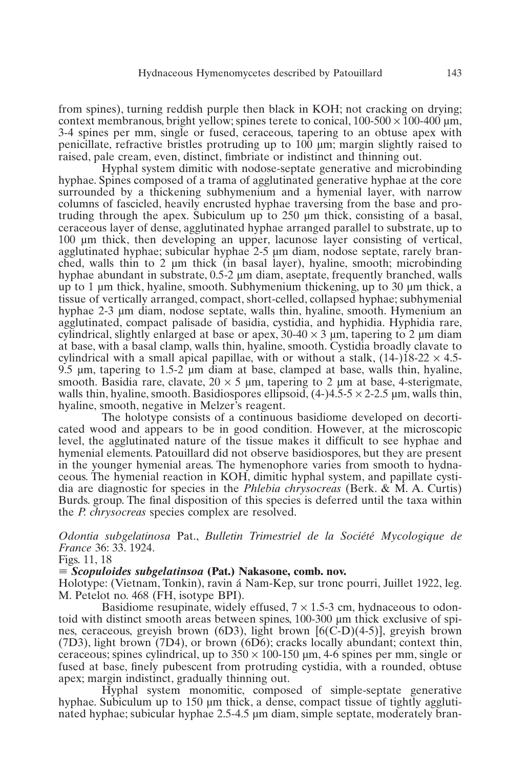from spines), turning reddish purple then black in KOH; not cracking on drying; context membranous, bright yellow; spines terete to conical,  $100-500 \times 100-400 \text{ µm}$ , 3-4 spines per mm, single or fused, ceraceous, tapering to an obtuse apex with penicillate, refractive bristles protruding up to 100 µm; margin slightly raised to raised, pale cream, even, distinct, fimbriate or indistinct and thinning out.

Hyphal system dimitic with nodose-septate generative and microbinding hyphae. Spines composed of a trama of agglutinated generative hyphae at the core surrounded by a thickening subhymenium and a hymenial layer, with narrow columns of fascicled, heavily encrusted hyphae traversing from the base and protruding through the apex. Subiculum up to 250 µm thick, consisting of a basal, ceraceous layer of dense, agglutinated hyphae arranged parallel to substrate, up to 100 µm thick, then developing an upper, lacunose layer consisting of vertical, agglutinated hyphae; subicular hyphae 2-5 µm diam, nodose septate, rarely branched, walls thin to 2 µm thick (in basal layer), hyaline, smooth; microbinding hyphae abundant in substrate, 0.5-2  $\mu$ m diam, aseptate, frequently branched, walls up to 1  $\mu$ m thick, hyaline, smooth. Subhymenium thickening, up to 30  $\mu$ m thick, a tissue of vertically arranged, compact, short-celled, collapsed hyphae; subhymenial hyphae 2-3 um diam, nodose septate, walls thin, hyaline, smooth. Hymenium an agglutinated, compact palisade of basidia, cystidia, and hyphidia. Hyphidia rare, cylindrical, slightly enlarged at base or apex,  $30-40 \times 3$  µm, tapering to 2 µm diam at base, with a basal clamp, walls thin, hyaline, smooth. Cystidia broadly clavate to cylindrical with a small apical papillae, with or without a stalk,  $(14-)18-22 \times 4.5-$ 9.5 µm, tapering to 1.5-2 µm diam at base, clamped at base, walls thin, hyaline, smooth. Basidia rare, clavate,  $20 \times 5$  µm, tapering to 2 µm at base, 4-sterigmate, walls thin, hyaline, smooth. Basidiospores ellipsoid,  $(4-)4.5-5 \times 2-2.5$  um, walls thin, hyaline, smooth, negative in Melzer's reagent.

The holotype consists of a continuous basidiome developed on decorticated wood and appears to be in good condition. However, at the microscopic level, the agglutinated nature of the tissue makes it difficult to see hyphae and hymenial elements. Patouillard did not observe basidiospores, but they are present in the younger hymenial areas. The hymenophore varies from smooth to hydnaceous. The hymenial reaction in KOH, dimitic hyphal system, and papillate cystidia are diagnostic for species in the *Phlebia chrysocreas* (Berk. & M. A. Curtis) Burds. group. The final disposition of this species is deferred until the taxa within the *P. chrysocreas* species complex are resolved.

*Odontia subgelatinosa* Pat., *Bulletin Trimestriel de la Société Mycologique de France* 36: 33. 1924.

Figs. 11, 18

- *Scopuloides subgelatinsoa* **(Pat.) Nakasone, comb. nov.**

Holotype: (Vietnam, Tonkin), ravin á Nam-Kep, sur tronc pourri, Juillet 1922, leg. M. Petelot no. 468 (FH, isotype BPI).

Basidiome resupinate, widely effused,  $7 \times 1.5$ -3 cm, hydnaceous to odontoid with distinct smooth areas between spines, 100-300 µm thick exclusive of spines, ceraceous, greyish brown (6D3), light brown [6(C-D)(4-5)], greyish brown (7D3), light brown (7D4), or brown (6D6); cracks locally abundant; context thin, ceraceous; spines cylindrical, up to  $350 \times 100$ -150 µm, 4-6 spines per mm, single or fused at base, finely pubescent from protruding cystidia, with a rounded, obtuse apex; margin indistinct, gradually thinning out.

Hyphal system monomitic, composed of simple-septate generative hyphae. Subiculum up to 150 µm thick, a dense, compact tissue of tightly agglutinated hyphae; subicular hyphae 2.5-4.5 µm diam, simple septate, moderately bran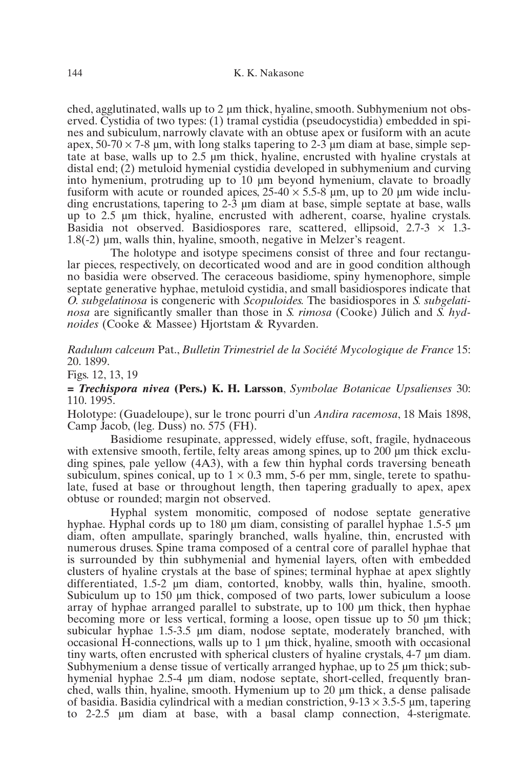ched, agglutinated, walls up to 2 um thick, hyaline, smooth. Subhymenium not observed. Cystidia of two types: (1) tramal cystidia (pseudocystidia) embedded in spines and subiculum, narrowly clavate with an obtuse apex or fusiform with an acute apex,  $50-70 \times 7-8$  µm, with long stalks tapering to 2-3 µm diam at base, simple septate at base, walls up to 2.5 µm thick, hyaline, encrusted with hyaline crystals at distal end; (2) metuloid hymenial cystidia developed in subhymenium and curving into hymenium, protruding up to 10 µm beyond hymenium, clavate to broadly fusiform with acute or rounded apices,  $25-40 \times 5.5-8$  µm, up to 20 µm wide including encrustations, tapering to 2-3 µm diam at base, simple septate at base, walls up to 2.5 µm thick, hyaline, encrusted with adherent, coarse, hyaline crystals. Basidia not observed. Basidiospores rare, scattered, ellipsoid,  $2.7 - 3 \times 1.3 - 1.3$ 1.8(-2) µm, walls thin, hyaline, smooth, negative in Melzer's reagent.

The holotype and isotype specimens consist of three and four rectangular pieces, respectively, on decorticated wood and are in good condition although no basidia were observed. The ceraceous basidiome, spiny hymenophore, simple septate generative hyphae, metuloid cystidia, and small basidiospores indicate that *O. subgelatinosa* is congeneric with *Scopuloides.* The basidiospores in *S. subgelatinosa* are significantly smaller than those in *S. rimosa* (Cooke) Jülich and *S. hydnoides* (Cooke & Massee) Hjortstam & Ryvarden.

*Radulum calceum* Pat., *Bulletin Trimestriel de la Société Mycologique de France* 15: 20. 1899.

Figs. 12, 13, 19

**=** *Trechispora nivea* **(Pers.) K. H. Larsson**, *Symbolae Botanicae Upsalienses* 30: 110. 1995.

Holotype: (Guadeloupe), sur le tronc pourri d'un *Andira racemosa*, 18 Mais 1898, Camp Jacob, (leg. Duss) no. 575 (FH).

Basidiome resupinate, appressed, widely effuse, soft, fragile, hydnaceous with extensive smooth, fertile, felty areas among spines, up to  $200 \mu m$  thick excluding spines, pale yellow (4A3), with a few thin hyphal cords traversing beneath subiculum, spines conical, up to  $1 \times 0.3$  mm, 5-6 per mm, single, terete to spathulate, fused at base or throughout length, then tapering gradually to apex, apex obtuse or rounded; margin not observed.

Hyphal system monomitic, composed of nodose septate generative hyphae. Hyphal cords up to 180 µm diam, consisting of parallel hyphae 1.5-5 µm diam, often ampullate, sparingly branched, walls hyaline, thin, encrusted with numerous druses. Spine trama composed of a central core of parallel hyphae that is surrounded by thin subhymenial and hymenial layers, often with embedded clusters of hyaline crystals at the base of spines; terminal hyphae at apex slightly differentiated, 1.5-2 µm diam, contorted, knobby, walls thin, hyaline, smooth. Subiculum up to 150 µm thick, composed of two parts, lower subiculum a loose array of hyphae arranged parallel to substrate, up to 100 µm thick, then hyphae becoming more or less vertical, forming a loose, open tissue up to 50 µm thick; subicular hyphae 1.5-3.5 µm diam, nodose septate, moderately branched, with occasional H-connections, walls up to  $1 \mu m$  thick, hyaline, smooth with occasional tiny warts, often encrusted with spherical clusters of hyaline crystals, 4-7 µm diam. Subhymenium a dense tissue of vertically arranged hyphae, up to 25  $\mu$ m thick; subhymenial hyphae 2.5-4 µm diam, nodose septate, short-celled, frequently branched, walls thin, hyaline, smooth. Hymenium up to 20 µm thick, a dense palisade of basidia. Basidia cylindrical with a median constriction,  $9-13 \times 3.5-5$  µm, tapering to 2-2.5 µm diam at base, with a basal clamp connection, 4-sterigmate.